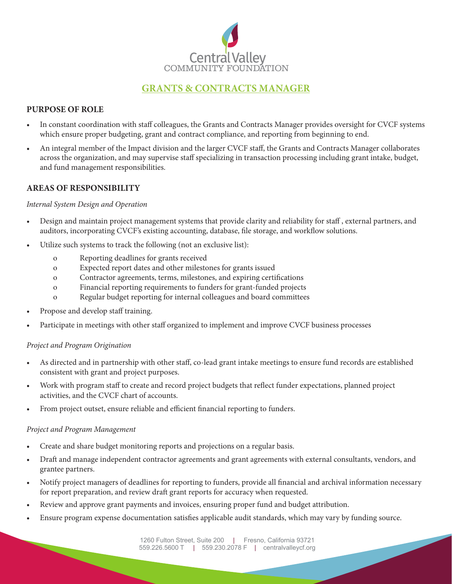

# **GRANTS & CONTRACTS MANAGER**

# **PURPOSE OF ROLE**

- In constant coordination with staff colleagues, the Grants and Contracts Manager provides oversight for CVCF systems which ensure proper budgeting, grant and contract compliance, and reporting from beginning to end.
- An integral member of the Impact division and the larger CVCF staff, the Grants and Contracts Manager collaborates across the organization, and may supervise staff specializing in transaction processing including grant intake, budget, and fund management responsibilities.

# **AREAS OF RESPONSIBILITY**

#### *Internal System Design and Operation*

- Design and maintain project management systems that provide clarity and reliability for staff , external partners, and auditors, incorporating CVCF's existing accounting, database, file storage, and workflow solutions.
- Utilize such systems to track the following (not an exclusive list):
	- o Reporting deadlines for grants received
	- o Expected report dates and other milestones for grants issued
	- o Contractor agreements, terms, milestones, and expiring certifications
	- o Financial reporting requirements to funders for grant-funded projects
	- o Regular budget reporting for internal colleagues and board committees
- Propose and develop staff training.
- Participate in meetings with other staff organized to implement and improve CVCF business processes

#### *Project and Program Origination*

- As directed and in partnership with other staff, co-lead grant intake meetings to ensure fund records are established consistent with grant and project purposes.
- Work with program staff to create and record project budgets that reflect funder expectations, planned project activities, and the CVCF chart of accounts.
- From project outset, ensure reliable and efficient financial reporting to funders.

#### *Project and Program Management*

- Create and share budget monitoring reports and projections on a regular basis.
- Draft and manage independent contractor agreements and grant agreements with external consultants, vendors, and grantee partners.
- Notify project managers of deadlines for reporting to funders, provide all financial and archival information necessary for report preparation, and review draft grant reports for accuracy when requested.
- Review and approve grant payments and invoices, ensuring proper fund and budget attribution.
- Ensure program expense documentation satisfies applicable audit standards, which may vary by funding source.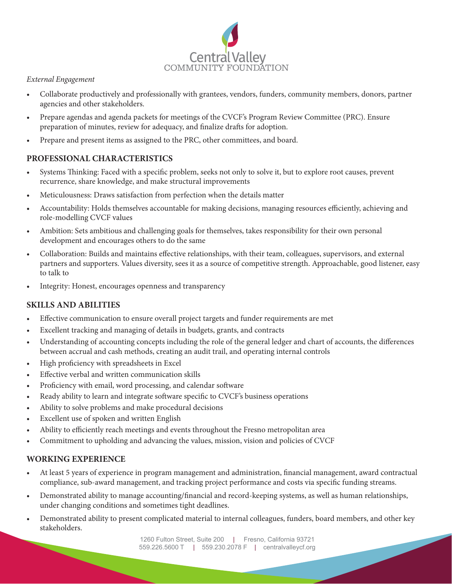

## *External Engagement*

- Collaborate productively and professionally with grantees, vendors, funders, community members, donors, partner agencies and other stakeholders.
- Prepare agendas and agenda packets for meetings of the CVCF's Program Review Committee (PRC). Ensure preparation of minutes, review for adequacy, and finalize drafts for adoption.
- Prepare and present items as assigned to the PRC, other committees, and board.

# **PROFESSIONAL CHARACTERISTICS**

- Systems Thinking: Faced with a specific problem, seeks not only to solve it, but to explore root causes, prevent recurrence, share knowledge, and make structural improvements
- Meticulousness: Draws satisfaction from perfection when the details matter
- Accountability: Holds themselves accountable for making decisions, managing resources efficiently, achieving and role-modelling CVCF values
- Ambition: Sets ambitious and challenging goals for themselves, takes responsibility for their own personal development and encourages others to do the same
- Collaboration: Builds and maintains effective relationships, with their team, colleagues, supervisors, and external partners and supporters. Values diversity, sees it as a source of competitive strength. Approachable, good listener, easy to talk to
- Integrity: Honest, encourages openness and transparency

## **SKILLS AND ABILITIES**

- Effective communication to ensure overall project targets and funder requirements are met
- Excellent tracking and managing of details in budgets, grants, and contracts
- Understanding of accounting concepts including the role of the general ledger and chart of accounts, the differences between accrual and cash methods, creating an audit trail, and operating internal controls
- High proficiency with spreadsheets in Excel
- Effective verbal and written communication skills
- Proficiency with email, word processing, and calendar software
- Ready ability to learn and integrate software specific to CVCF's business operations
- Ability to solve problems and make procedural decisions
- Excellent use of spoken and written English
- Ability to efficiently reach meetings and events throughout the Fresno metropolitan area
- Commitment to upholding and advancing the values, mission, vision and policies of CVCF

## **WORKING EXPERIENCE**

- At least 5 years of experience in program management and administration, financial management, award contractual compliance, sub-award management, and tracking project performance and costs via specific funding streams.
- Demonstrated ability to manage accounting/financial and record-keeping systems, as well as human relationships, under changing conditions and sometimes tight deadlines.
- Demonstrated ability to present complicated material to internal colleagues, funders, board members, and other key stakeholders.

1260 Fulton Street, Suite 200 | Fresno, California 93721 559.226.5600 T | 559.230.2078 F | centralvalleycf.org